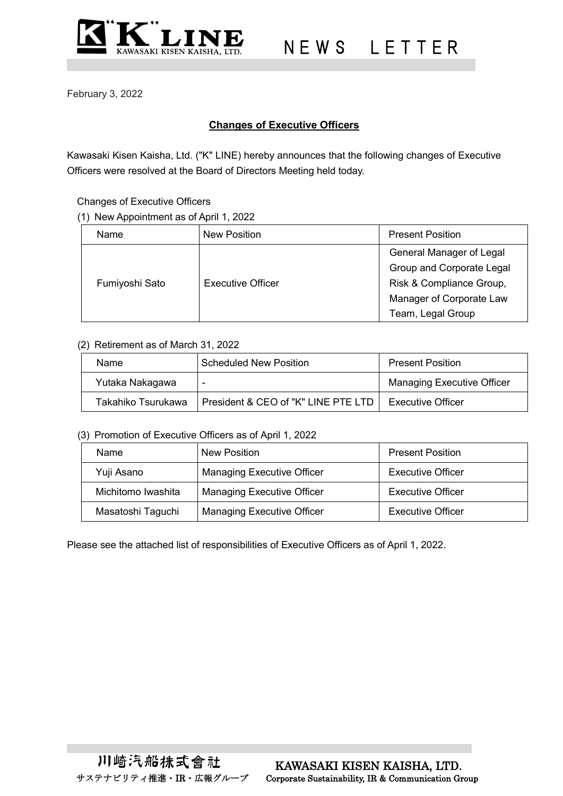

February 3, 2022

# **Changes of Executive Officers**

Kawasaki Kisen Kaisha, Ltd. ("K" LINE) hereby announces that the following changes of Executive Officers were resolved at the Board of Directors Meeting held today.

## Changes of Executive Officers

(1) New Appointment as of April 1, 2022

| Name           | <b>New Position</b>      | <b>Present Position</b>   |
|----------------|--------------------------|---------------------------|
| Fumiyoshi Sato | <b>Executive Officer</b> | General Manager of Legal  |
|                |                          | Group and Corporate Legal |
|                |                          | Risk & Compliance Group,  |
|                |                          | Manager of Corporate Law  |
|                |                          | Team, Legal Group         |

## (2) Retirement as of March 31, 2022

| Name               | <b>Scheduled New Position</b>         | <b>Present Position</b>           |
|--------------------|---------------------------------------|-----------------------------------|
| Yutaka Nakagawa    | $\overline{\phantom{0}}$              | <b>Managing Executive Officer</b> |
| Takahiko Tsurukawa | President & CEO of "K" LINE PTE LTD I | <b>Executive Officer</b>          |

#### (3) Promotion of Executive Officers as of April 1, 2022

| Name                                                                               | New Position                                                  | <b>Present Position</b>  |
|------------------------------------------------------------------------------------|---------------------------------------------------------------|--------------------------|
| Yuji Asano                                                                         | <b>Managing Executive Officer</b><br><b>Executive Officer</b> |                          |
| Michitomo Iwashita                                                                 | <b>Managing Executive Officer</b>                             | <b>Executive Officer</b> |
| <b>Managing Executive Officer</b><br><b>Executive Officer</b><br>Masatoshi Taguchi |                                                               |                          |

Please see the attached list of responsibilities of Executive Officers as of April 1, 2022.